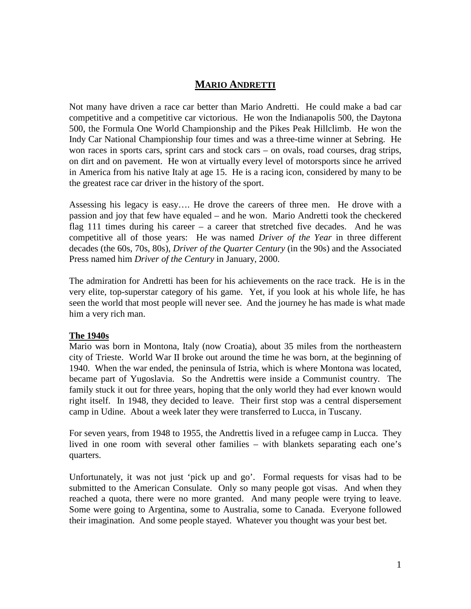# **MARIO ANDRETTI**

Not many have driven a race car better than Mario Andretti. He could make a bad car competitive and a competitive car victorious. He won the Indianapolis 500, the Daytona 500, the Formula One World Championship and the Pikes Peak Hillclimb. He won the Indy Car National Championship four times and was a three-time winner at Sebring. He won races in sports cars, sprint cars and stock cars – on ovals, road courses, drag strips, on dirt and on pavement. He won at virtually every level of motorsports since he arrived in America from his native Italy at age 15. He is a racing icon, considered by many to be the greatest race car driver in the history of the sport.

Assessing his legacy is easy…. He drove the careers of three men. He drove with a passion and joy that few have equaled – and he won. Mario Andretti took the checkered flag 111 times during his career – a career that stretched five decades. And he was competitive all of those years: He was named *Driver of the Year* in three different decades (the 60s, 70s, 80s), *Driver of the Quarter Century* (in the 90s) and the Associated Press named him *Driver of the Century* in January, 2000.

The admiration for Andretti has been for his achievements on the race track. He is in the very elite, top-superstar category of his game. Yet, if you look at his whole life, he has seen the world that most people will never see. And the journey he has made is what made him a very rich man.

#### **The 1940s**

Mario was born in Montona, Italy (now Croatia), about 35 miles from the northeastern city of Trieste. World War II broke out around the time he was born, at the beginning of 1940. When the war ended, the peninsula of Istria, which is where Montona was located, became part of Yugoslavia. So the Andrettis were inside a Communist country. The family stuck it out for three years, hoping that the only world they had ever known would right itself. In 1948, they decided to leave. Their first stop was a central dispersement camp in Udine. About a week later they were transferred to Lucca, in Tuscany.

For seven years, from 1948 to 1955, the Andrettis lived in a refugee camp in Lucca. They lived in one room with several other families – with blankets separating each one's quarters.

Unfortunately, it was not just 'pick up and go'. Formal requests for visas had to be submitted to the American Consulate. Only so many people got visas. And when they reached a quota, there were no more granted. And many people were trying to leave. Some were going to Argentina, some to Australia, some to Canada. Everyone followed their imagination. And some people stayed. Whatever you thought was your best bet.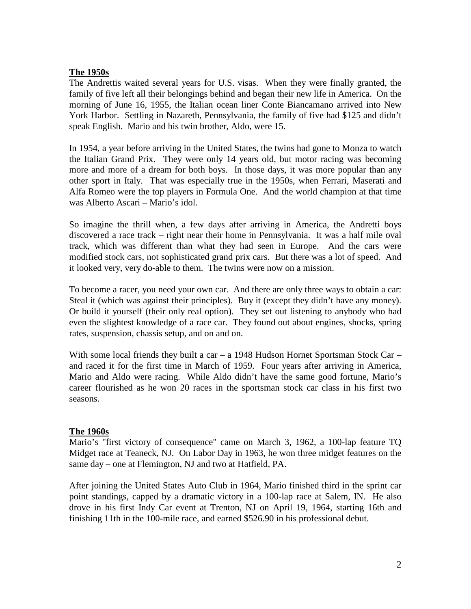#### **The 1950s**

The Andrettis waited several years for U.S. visas. When they were finally granted, the family of five left all their belongings behind and began their new life in America. On the morning of June 16, 1955, the Italian ocean liner Conte Biancamano arrived into New York Harbor. Settling in Nazareth, Pennsylvania, the family of five had \$125 and didn't speak English. Mario and his twin brother, Aldo, were 15.

In 1954, a year before arriving in the United States, the twins had gone to Monza to watch the Italian Grand Prix. They were only 14 years old, but motor racing was becoming more and more of a dream for both boys. In those days, it was more popular than any other sport in Italy. That was especially true in the 1950s, when Ferrari, Maserati and Alfa Romeo were the top players in Formula One. And the world champion at that time was Alberto Ascari – Mario's idol.

So imagine the thrill when, a few days after arriving in America, the Andretti boys discovered a race track – right near their home in Pennsylvania. It was a half mile oval track, which was different than what they had seen in Europe. And the cars were modified stock cars, not sophisticated grand prix cars. But there was a lot of speed. And it looked very, very do-able to them. The twins were now on a mission.

To become a racer, you need your own car. And there are only three ways to obtain a car: Steal it (which was against their principles). Buy it (except they didn't have any money). Or build it yourself (their only real option). They set out listening to anybody who had even the slightest knowledge of a race car. They found out about engines, shocks, spring rates, suspension, chassis setup, and on and on.

With some local friends they built a car – a 1948 Hudson Hornet Sportsman Stock Car – and raced it for the first time in March of 1959. Four years after arriving in America, Mario and Aldo were racing. While Aldo didn't have the same good fortune, Mario's career flourished as he won 20 races in the sportsman stock car class in his first two seasons.

### **The 1960s**

Mario's "first victory of consequence" came on March 3, 1962, a 100-lap feature TQ Midget race at Teaneck, NJ. On Labor Day in 1963, he won three midget features on the same day – one at Flemington, NJ and two at Hatfield, PA.

After joining the United States Auto Club in 1964, Mario finished third in the sprint car point standings, capped by a dramatic victory in a 100-lap race at Salem, IN. He also drove in his first Indy Car event at Trenton, NJ on April 19, 1964, starting 16th and finishing 11th in the 100-mile race, and earned \$526.90 in his professional debut.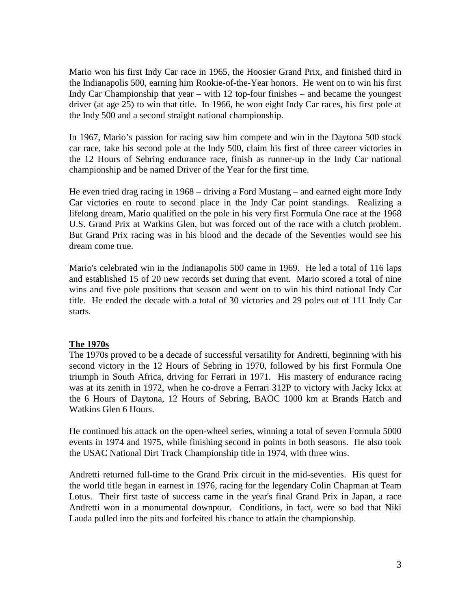Mario won his first Indy Car race in 1965, the Hoosier Grand Prix, and finished third in the Indianapolis 500, earning him Rookie-of-the-Year honors. He went on to win his first Indy Car Championship that year – with 12 top-four finishes – and became the youngest driver (at age 25) to win that title. In 1966, he won eight Indy Car races, his first pole at the Indy 500 and a second straight national championship.

In 1967, Mario's passion for racing saw him compete and win in the Daytona 500 stock car race, take his second pole at the Indy 500, claim his first of three career victories in the 12 Hours of Sebring endurance race, finish as runner-up in the Indy Car national championship and be named Driver of the Year for the first time.

He even tried drag racing in 1968 – driving a Ford Mustang – and earned eight more Indy Car victories en route to second place in the Indy Car point standings. Realizing a lifelong dream, Mario qualified on the pole in his very first Formula One race at the 1968 U.S. Grand Prix at Watkins Glen, but was forced out of the race with a clutch problem. But Grand Prix racing was in his blood and the decade of the Seventies would see his dream come true.

Mario's celebrated win in the Indianapolis 500 came in 1969. He led a total of 116 laps and established 15 of 20 new records set during that event. Mario scored a total of nine wins and five pole positions that season and went on to win his third national Indy Car title. He ended the decade with a total of 30 victories and 29 poles out of 111 Indy Car starts.

### **The 1970s**

The 1970s proved to be a decade of successful versatility for Andretti, beginning with his second victory in the 12 Hours of Sebring in 1970, followed by his first Formula One triumph in South Africa, driving for Ferrari in 1971. His mastery of endurance racing was at its zenith in 1972, when he co-drove a Ferrari 312P to victory with Jacky Ickx at the 6 Hours of Daytona, 12 Hours of Sebring, BAOC 1000 km at Brands Hatch and Watkins Glen 6 Hours.

He continued his attack on the open-wheel series, winning a total of seven Formula 5000 events in 1974 and 1975, while finishing second in points in both seasons. He also took the USAC National Dirt Track Championship title in 1974, with three wins.

Andretti returned full-time to the Grand Prix circuit in the mid-seventies. His quest for the world title began in earnest in 1976, racing for the legendary Colin Chapman at Team Lotus. Their first taste of success came in the year's final Grand Prix in Japan, a race Andretti won in a monumental downpour. Conditions, in fact, were so bad that Niki Lauda pulled into the pits and forfeited his chance to attain the championship.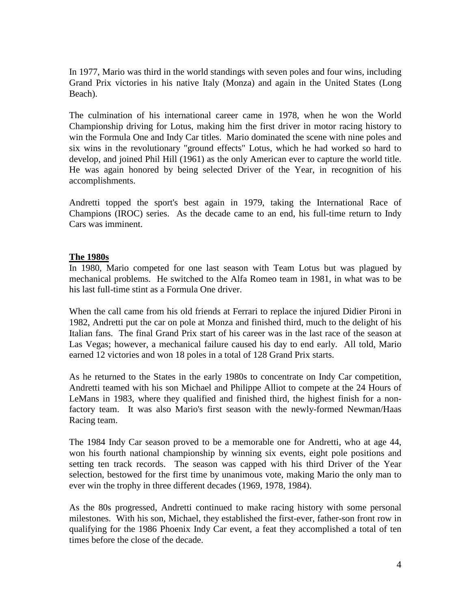In 1977, Mario was third in the world standings with seven poles and four wins, including Grand Prix victories in his native Italy (Monza) and again in the United States (Long Beach).

The culmination of his international career came in 1978, when he won the World Championship driving for Lotus, making him the first driver in motor racing history to win the Formula One and Indy Car titles. Mario dominated the scene with nine poles and six wins in the revolutionary "ground effects" Lotus, which he had worked so hard to develop, and joined Phil Hill (1961) as the only American ever to capture the world title. He was again honored by being selected Driver of the Year, in recognition of his accomplishments.

Andretti topped the sport's best again in 1979, taking the International Race of Champions (IROC) series. As the decade came to an end, his full-time return to Indy Cars was imminent.

#### **The 1980s**

In 1980, Mario competed for one last season with Team Lotus but was plagued by mechanical problems. He switched to the Alfa Romeo team in 1981, in what was to be his last full-time stint as a Formula One driver.

When the call came from his old friends at Ferrari to replace the injured Didier Pironi in 1982, Andretti put the car on pole at Monza and finished third, much to the delight of his Italian fans. The final Grand Prix start of his career was in the last race of the season at Las Vegas; however, a mechanical failure caused his day to end early. All told, Mario earned 12 victories and won 18 poles in a total of 128 Grand Prix starts.

As he returned to the States in the early 1980s to concentrate on Indy Car competition, Andretti teamed with his son Michael and Philippe Alliot to compete at the 24 Hours of LeMans in 1983, where they qualified and finished third, the highest finish for a nonfactory team. It was also Mario's first season with the newly-formed Newman/Haas Racing team.

The 1984 Indy Car season proved to be a memorable one for Andretti, who at age 44, won his fourth national championship by winning six events, eight pole positions and setting ten track records. The season was capped with his third Driver of the Year selection, bestowed for the first time by unanimous vote, making Mario the only man to ever win the trophy in three different decades (1969, 1978, 1984).

As the 80s progressed, Andretti continued to make racing history with some personal milestones. With his son, Michael, they established the first-ever, father-son front row in qualifying for the 1986 Phoenix Indy Car event, a feat they accomplished a total of ten times before the close of the decade.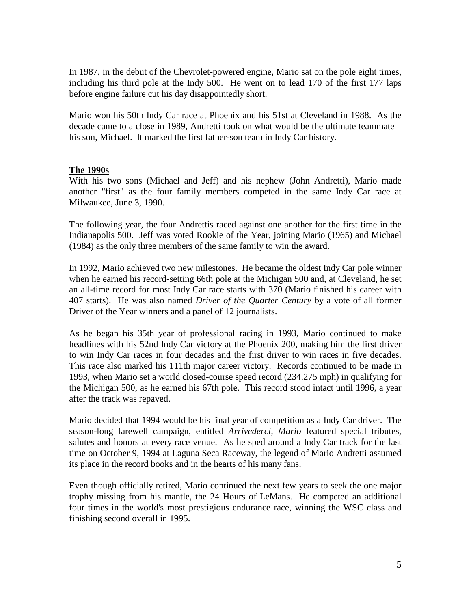In 1987, in the debut of the Chevrolet-powered engine, Mario sat on the pole eight times, including his third pole at the Indy 500. He went on to lead 170 of the first 177 laps before engine failure cut his day disappointedly short.

Mario won his 50th Indy Car race at Phoenix and his 51st at Cleveland in 1988. As the decade came to a close in 1989, Andretti took on what would be the ultimate teammate – his son, Michael. It marked the first father-son team in Indy Car history.

#### **The 1990s**

With his two sons (Michael and Jeff) and his nephew (John Andretti), Mario made another "first" as the four family members competed in the same Indy Car race at Milwaukee, June 3, 1990.

The following year, the four Andrettis raced against one another for the first time in the Indianapolis 500. Jeff was voted Rookie of the Year, joining Mario (1965) and Michael (1984) as the only three members of the same family to win the award.

In 1992, Mario achieved two new milestones. He became the oldest Indy Car pole winner when he earned his record-setting 66th pole at the Michigan 500 and, at Cleveland, he set an all-time record for most Indy Car race starts with 370 (Mario finished his career with 407 starts). He was also named *Driver of the Quarter Century* by a vote of all former Driver of the Year winners and a panel of 12 journalists.

As he began his 35th year of professional racing in 1993, Mario continued to make headlines with his 52nd Indy Car victory at the Phoenix 200, making him the first driver to win Indy Car races in four decades and the first driver to win races in five decades. This race also marked his 111th major career victory. Records continued to be made in 1993, when Mario set a world closed-course speed record (234.275 mph) in qualifying for the Michigan 500, as he earned his 67th pole. This record stood intact until 1996, a year after the track was repaved.

Mario decided that 1994 would be his final year of competition as a Indy Car driver. The season-long farewell campaign, entitled *Arrivederci, Mario* featured special tributes, salutes and honors at every race venue. As he sped around a Indy Car track for the last time on October 9, 1994 at Laguna Seca Raceway, the legend of Mario Andretti assumed its place in the record books and in the hearts of his many fans.

Even though officially retired, Mario continued the next few years to seek the one major trophy missing from his mantle, the 24 Hours of LeMans. He competed an additional four times in the world's most prestigious endurance race, winning the WSC class and finishing second overall in 1995.